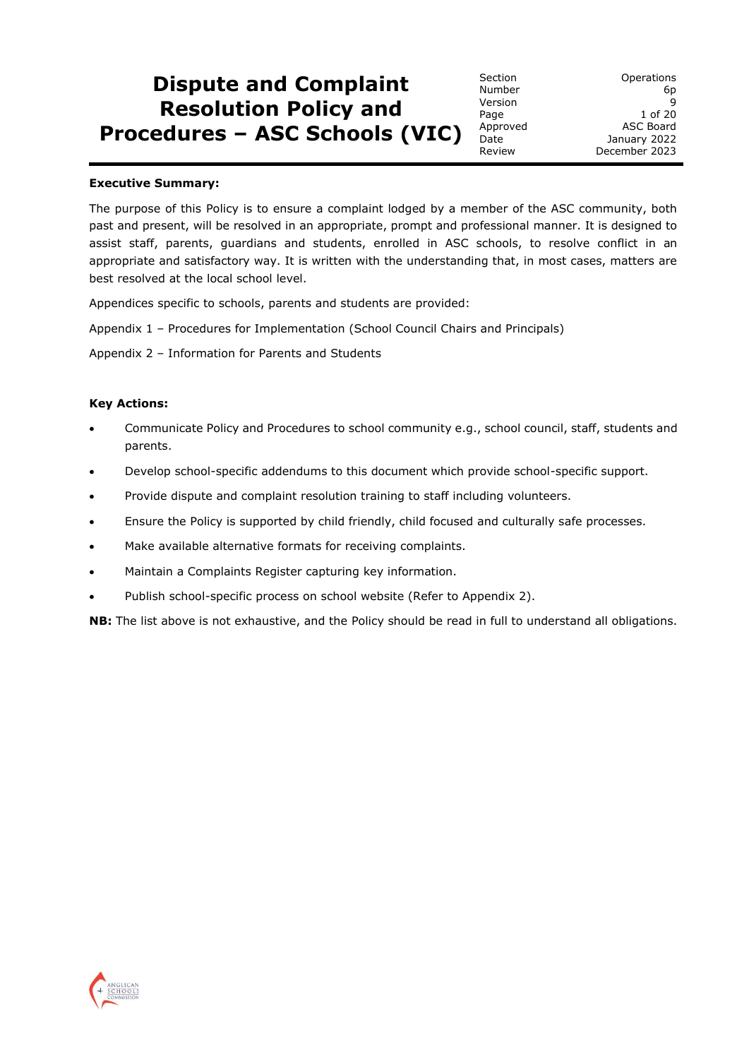# **Dispute and Complaint Resolution Policy and Procedures – ASC Schools (VIC)**

Version

Section **Operations** Number 6p<br>Version 9 Page 1 of 20 Approved ASC Board Date **January 2022** Review December 2023

#### **Executive Summary:**

The purpose of this Policy is to ensure a complaint lodged by a member of the ASC community, both past and present, will be resolved in an appropriate, prompt and professional manner. It is designed to assist staff, parents, guardians and students, enrolled in ASC schools, to resolve conflict in an appropriate and satisfactory way. It is written with the understanding that, in most cases, matters are best resolved at the local school level.

Appendices specific to schools, parents and students are provided:

Appendix 1 – Procedures for Implementation (School Council Chairs and Principals)

Appendix 2 – Information for Parents and Students

#### **Key Actions:**

- Communicate Policy and Procedures to school community e.g., school council, staff, students and parents.
- Develop school-specific addendums to this document which provide school-specific support.
- Provide dispute and complaint resolution training to staff including volunteers.
- Ensure the Policy is supported by child friendly, child focused and culturally safe processes.
- Make available alternative formats for receiving complaints.
- Maintain a Complaints Register capturing key information.
- Publish school-specific process on school website (Refer to Appendix 2).

**NB:** The list above is not exhaustive, and the Policy should be read in full to understand all obligations.

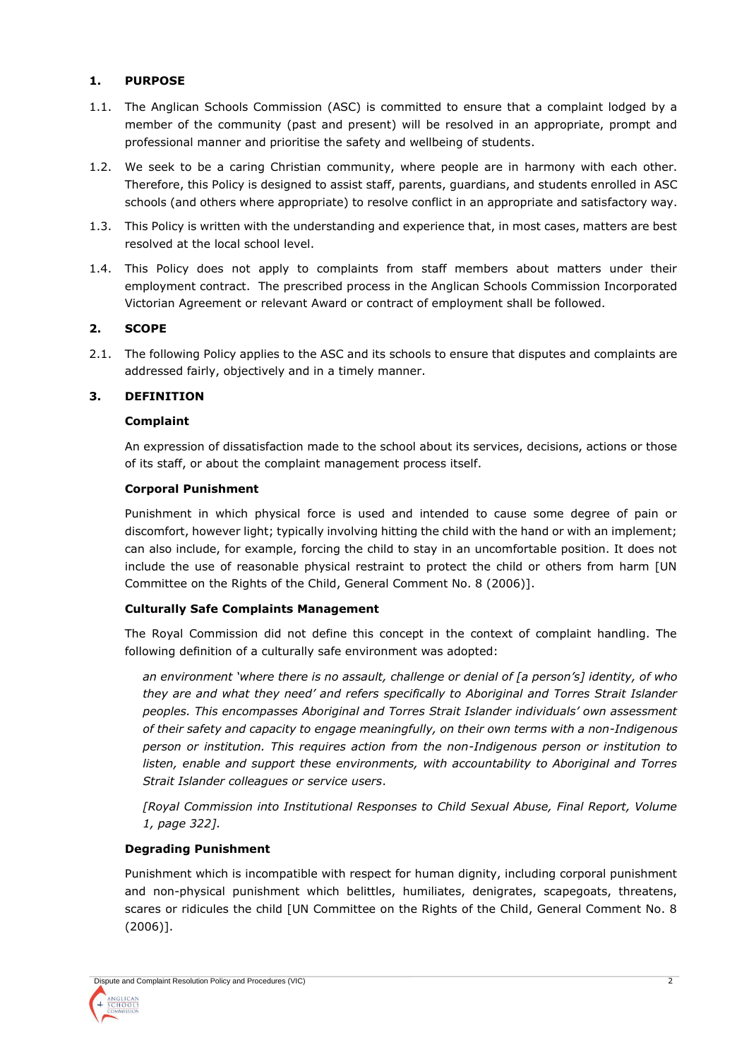# **1. PURPOSE**

- 1.1. The Anglican Schools Commission (ASC) is committed to ensure that a complaint lodged by a member of the community (past and present) will be resolved in an appropriate, prompt and professional manner and prioritise the safety and wellbeing of students.
- 1.2. We seek to be a caring Christian community, where people are in harmony with each other. Therefore, this Policy is designed to assist staff, parents, guardians, and students enrolled in ASC schools (and others where appropriate) to resolve conflict in an appropriate and satisfactory way.
- 1.3. This Policy is written with the understanding and experience that, in most cases, matters are best resolved at the local school level.
- 1.4. This Policy does not apply to complaints from staff members about matters under their employment contract. The prescribed process in the Anglican Schools Commission Incorporated Victorian Agreement or relevant Award or contract of employment shall be followed.

# **2. SCOPE**

2.1. The following Policy applies to the ASC and its schools to ensure that disputes and complaints are addressed fairly, objectively and in a timely manner.

# **3. DEFINITION**

## **Complaint**

An expression of dissatisfaction made to the school about its services, decisions, actions or those of its staff, or about the complaint management process itself.

## **Corporal Punishment**

Punishment in which physical force is used and intended to cause some degree of pain or discomfort, however light; typically involving hitting the child with the hand or with an implement; can also include, for example, forcing the child to stay in an uncomfortable position. It does not include the use of reasonable physical restraint to protect the child or others from harm [UN Committee on the Rights of the Child, General Comment No. 8 (2006)].

# **Culturally Safe Complaints Management**

The Royal Commission did not define this concept in the context of complaint handling. The following definition of a culturally safe environment was adopted:

*an environment 'where there is no assault, challenge or denial of [a person's] identity, of who they are and what they need' and refers specifically to Aboriginal and Torres Strait Islander peoples. This encompasses Aboriginal and Torres Strait Islander individuals' own assessment of their safety and capacity to engage meaningfully, on their own terms with a non-Indigenous person or institution. This requires action from the non-Indigenous person or institution to listen, enable and support these environments, with accountability to Aboriginal and Torres Strait Islander colleagues or service users*.

*[Royal Commission into Institutional Responses to Child Sexual Abuse, Final Report, Volume 1, page 322].*

# **Degrading Punishment**

Punishment which is incompatible with respect for human dignity, including corporal punishment and non-physical punishment which belittles, humiliates, denigrates, scapegoats, threatens, scares or ridicules the child [UN Committee on the Rights of the Child, General Comment No. 8 (2006)].

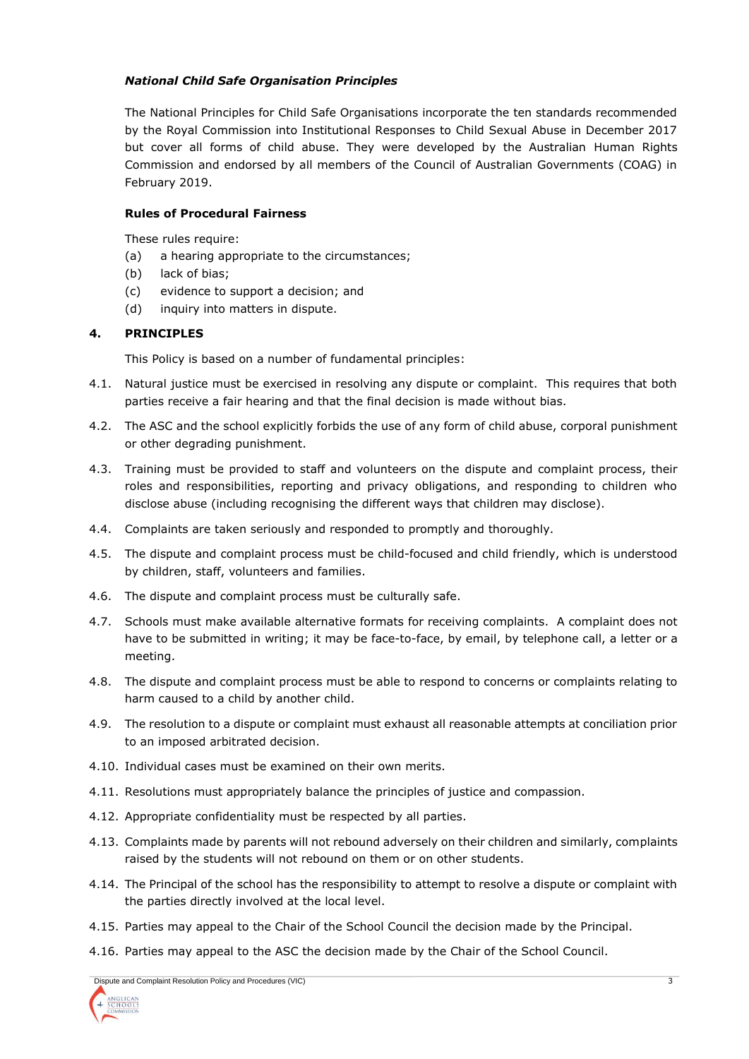## *National Child Safe Organisation Principles*

The National Principles for Child Safe Organisations incorporate the ten standards recommended by the Royal Commission into Institutional Responses to Child Sexual Abuse in December 2017 but cover all forms of child abuse. They were developed by the Australian Human Rights Commission and endorsed by all members of the Council of Australian Governments (COAG) in February 2019.

## **Rules of Procedural Fairness**

These rules require:

- (a) a hearing appropriate to the circumstances;
- (b) lack of bias;
- (c) evidence to support a decision; and
- (d) inquiry into matters in dispute.

## **4. PRINCIPLES**

This Policy is based on a number of fundamental principles:

- 4.1. Natural justice must be exercised in resolving any dispute or complaint. This requires that both parties receive a fair hearing and that the final decision is made without bias.
- 4.2. The ASC and the school explicitly forbids the use of any form of child abuse, corporal punishment or other degrading punishment.
- 4.3. Training must be provided to staff and volunteers on the dispute and complaint process, their roles and responsibilities, reporting and privacy obligations, and responding to children who disclose abuse (including recognising the different ways that children may disclose).
- 4.4. Complaints are taken seriously and responded to promptly and thoroughly.
- 4.5. The dispute and complaint process must be child-focused and child friendly, which is understood by children, staff, volunteers and families.
- 4.6. The dispute and complaint process must be culturally safe.
- 4.7. Schools must make available alternative formats for receiving complaints. A complaint does not have to be submitted in writing; it may be face-to-face, by email, by telephone call, a letter or a meeting.
- 4.8. The dispute and complaint process must be able to respond to concerns or complaints relating to harm caused to a child by another child.
- 4.9. The resolution to a dispute or complaint must exhaust all reasonable attempts at conciliation prior to an imposed arbitrated decision.
- 4.10. Individual cases must be examined on their own merits.
- 4.11. Resolutions must appropriately balance the principles of justice and compassion.
- 4.12. Appropriate confidentiality must be respected by all parties.
- 4.13. Complaints made by parents will not rebound adversely on their children and similarly, complaints raised by the students will not rebound on them or on other students.
- 4.14. The Principal of the school has the responsibility to attempt to resolve a dispute or complaint with the parties directly involved at the local level.
- 4.15. Parties may appeal to the Chair of the School Council the decision made by the Principal.
- 4.16. Parties may appeal to the ASC the decision made by the Chair of the School Council.

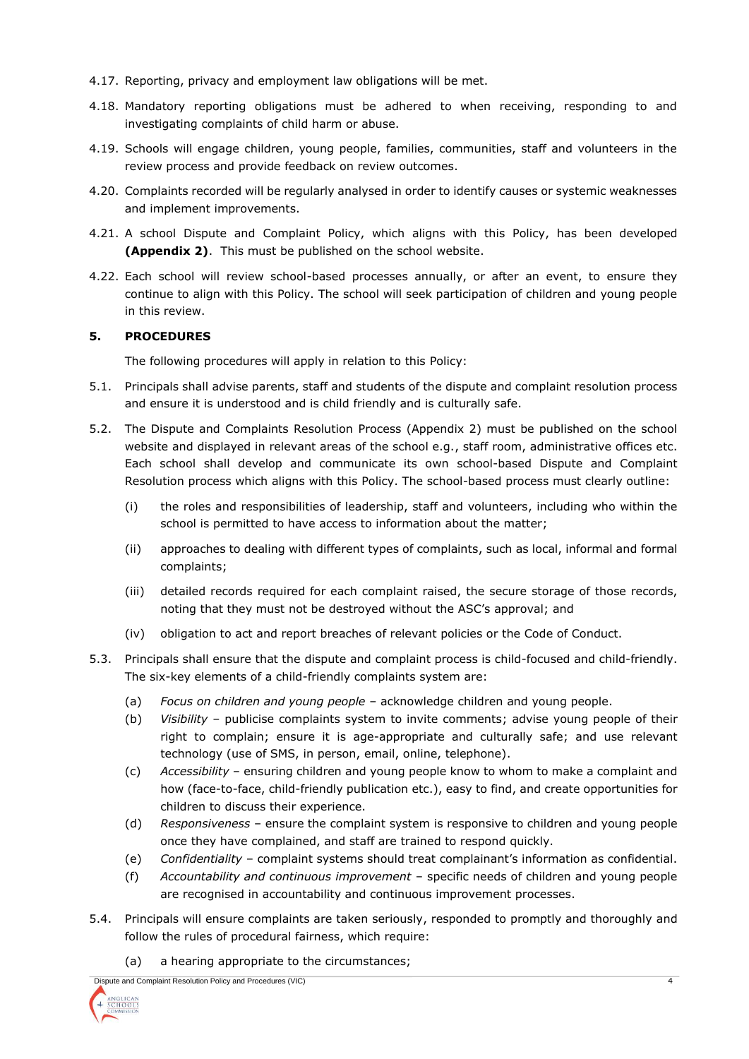- 4.17. Reporting, privacy and employment law obligations will be met.
- 4.18. Mandatory reporting obligations must be adhered to when receiving, responding to and investigating complaints of child harm or abuse.
- 4.19. Schools will engage children, young people, families, communities, staff and volunteers in the review process and provide feedback on review outcomes.
- 4.20. Complaints recorded will be regularly analysed in order to identify causes or systemic weaknesses and implement improvements.
- 4.21. A school Dispute and Complaint Policy, which aligns with this Policy, has been developed **(Appendix 2)**. This must be published on the school website.
- 4.22. Each school will review school-based processes annually, or after an event, to ensure they continue to align with this Policy. The school will seek participation of children and young people in this review.

## **5. PROCEDURES**

The following procedures will apply in relation to this Policy:

- 5.1. Principals shall advise parents, staff and students of the dispute and complaint resolution process and ensure it is understood and is child friendly and is culturally safe.
- 5.2. The Dispute and Complaints Resolution Process (Appendix 2) must be published on the school website and displayed in relevant areas of the school e.g., staff room, administrative offices etc. Each school shall develop and communicate its own school-based Dispute and Complaint Resolution process which aligns with this Policy. The school-based process must clearly outline:
	- (i) the roles and responsibilities of leadership, staff and volunteers, including who within the school is permitted to have access to information about the matter;
	- (ii) approaches to dealing with different types of complaints, such as local, informal and formal complaints;
	- (iii) detailed records required for each complaint raised, the secure storage of those records, noting that they must not be destroyed without the ASC's approval; and
	- (iv) obligation to act and report breaches of relevant policies or the Code of Conduct.
- 5.3. Principals shall ensure that the dispute and complaint process is child-focused and child-friendly. The six-key elements of a child-friendly complaints system are:
	- (a) *Focus on children and young people* acknowledge children and young people.
	- (b) *Visibility* publicise complaints system to invite comments; advise young people of their right to complain; ensure it is age-appropriate and culturally safe; and use relevant technology (use of SMS, in person, email, online, telephone).
	- (c) *Accessibility* ensuring children and young people know to whom to make a complaint and how (face-to-face, child-friendly publication etc.), easy to find, and create opportunities for children to discuss their experience.
	- (d) *Responsiveness* ensure the complaint system is responsive to children and young people once they have complained, and staff are trained to respond quickly.
	- (e) *Confidentiality* complaint systems should treat complainant's information as confidential.
	- (f) *Accountability and continuous improvement* specific needs of children and young people are recognised in accountability and continuous improvement processes.
- 5.4. Principals will ensure complaints are taken seriously, responded to promptly and thoroughly and follow the rules of procedural fairness, which require:
	- (a) a hearing appropriate to the circumstances;

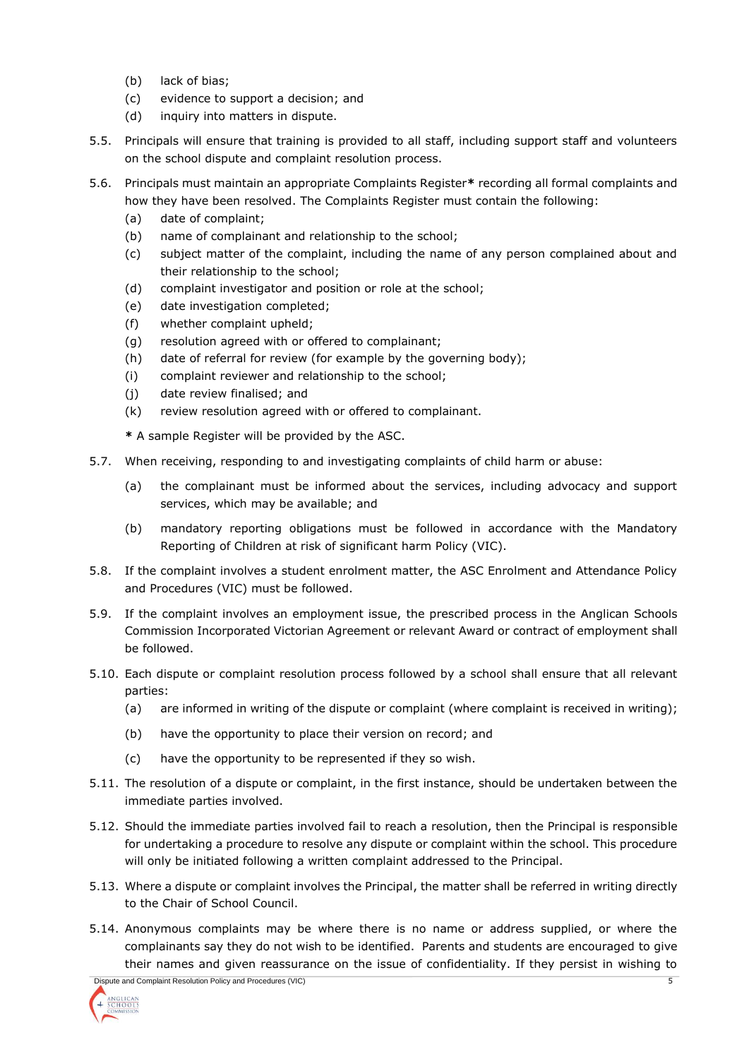- (b) lack of bias;
- (c) evidence to support a decision; and
- (d) inquiry into matters in dispute.
- 5.5. Principals will ensure that training is provided to all staff, including support staff and volunteers on the school dispute and complaint resolution process.
- 5.6. Principals must maintain an appropriate Complaints Register**\*** recording all formal complaints and how they have been resolved. The Complaints Register must contain the following:
	- (a) date of complaint;
	- (b) name of complainant and relationship to the school;
	- (c) subject matter of the complaint, including the name of any person complained about and their relationship to the school;
	- (d) complaint investigator and position or role at the school;
	- (e) date investigation completed;
	- (f) whether complaint upheld;
	- (g) resolution agreed with or offered to complainant;
	- (h) date of referral for review (for example by the governing body);
	- (i) complaint reviewer and relationship to the school;
	- (j) date review finalised; and
	- (k) review resolution agreed with or offered to complainant.

**\*** A sample Register will be provided by the ASC.

- 5.7. When receiving, responding to and investigating complaints of child harm or abuse:
	- (a) the complainant must be informed about the services, including advocacy and support services, which may be available; and
	- (b) mandatory reporting obligations must be followed in accordance with the Mandatory Reporting of Children at risk of significant harm Policy (VIC).
- 5.8. If the complaint involves a student enrolment matter, the ASC Enrolment and Attendance Policy and Procedures (VIC) must be followed.
- 5.9. If the complaint involves an employment issue, the prescribed process in the Anglican Schools Commission Incorporated Victorian Agreement or relevant Award or contract of employment shall be followed.
- 5.10. Each dispute or complaint resolution process followed by a school shall ensure that all relevant parties:
	- (a) are informed in writing of the dispute or complaint (where complaint is received in writing);
	- (b) have the opportunity to place their version on record; and
	- (c) have the opportunity to be represented if they so wish.
- 5.11. The resolution of a dispute or complaint, in the first instance, should be undertaken between the immediate parties involved.
- 5.12. Should the immediate parties involved fail to reach a resolution, then the Principal is responsible for undertaking a procedure to resolve any dispute or complaint within the school. This procedure will only be initiated following a written complaint addressed to the Principal.
- 5.13. Where a dispute or complaint involves the Principal, the matter shall be referred in writing directly to the Chair of School Council.
- 5.14. Anonymous complaints may be where there is no name or address supplied, or where the complainants say they do not wish to be identified. Parents and students are encouraged to give their names and given reassurance on the issue of confidentiality. If they persist in wishing to

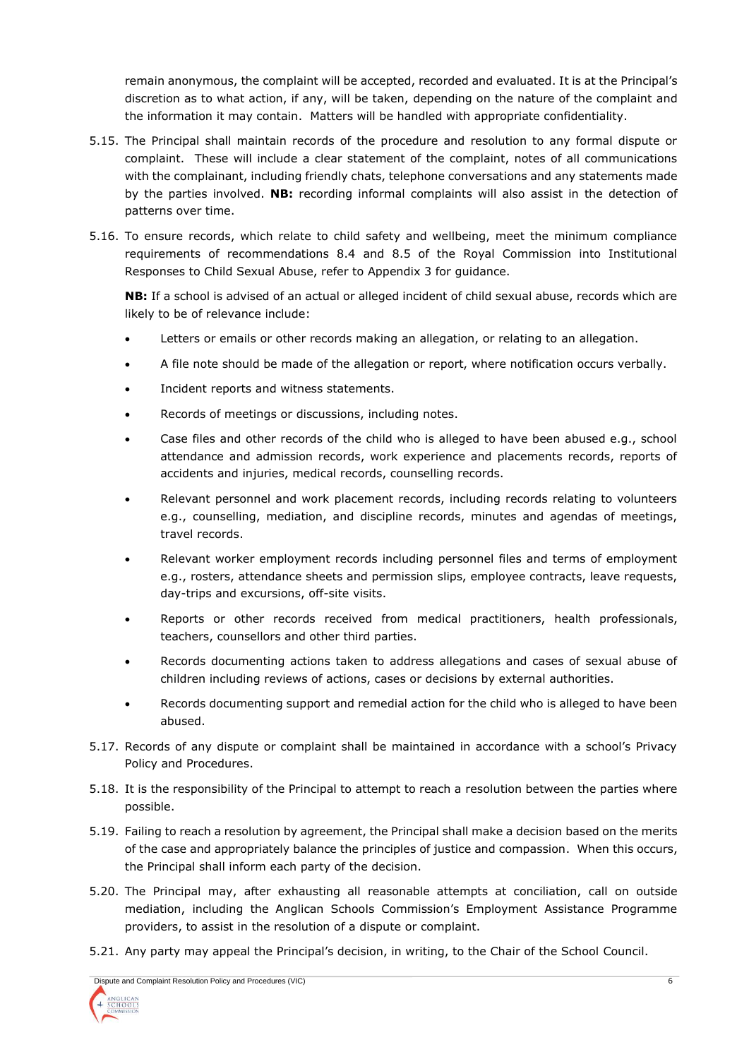remain anonymous, the complaint will be accepted, recorded and evaluated. It is at the Principal's discretion as to what action, if any, will be taken, depending on the nature of the complaint and the information it may contain. Matters will be handled with appropriate confidentiality.

- 5.15. The Principal shall maintain records of the procedure and resolution to any formal dispute or complaint. These will include a clear statement of the complaint, notes of all communications with the complainant, including friendly chats, telephone conversations and any statements made by the parties involved. **NB:** recording informal complaints will also assist in the detection of patterns over time.
- 5.16. To ensure records, which relate to child safety and wellbeing, meet the minimum compliance requirements of recommendations 8.4 and 8.5 of the Royal Commission into Institutional Responses to Child Sexual Abuse, refer to Appendix 3 for guidance.

**NB:** If a school is advised of an actual or alleged incident of child sexual abuse, records which are likely to be of relevance include:

- Letters or emails or other records making an allegation, or relating to an allegation.
- A file note should be made of the allegation or report, where notification occurs verbally.
- Incident reports and witness statements.
- Records of meetings or discussions, including notes.
- Case files and other records of the child who is alleged to have been abused e.g., school attendance and admission records, work experience and placements records, reports of accidents and injuries, medical records, counselling records.
- Relevant personnel and work placement records, including records relating to volunteers e.g., counselling, mediation, and discipline records, minutes and agendas of meetings, travel records.
- Relevant worker employment records including personnel files and terms of employment e.g., rosters, attendance sheets and permission slips, employee contracts, leave requests, day-trips and excursions, off-site visits.
- Reports or other records received from medical practitioners, health professionals, teachers, counsellors and other third parties.
- Records documenting actions taken to address allegations and cases of sexual abuse of children including reviews of actions, cases or decisions by external authorities.
- Records documenting support and remedial action for the child who is alleged to have been abused.
- 5.17. Records of any dispute or complaint shall be maintained in accordance with a school's Privacy Policy and Procedures.
- 5.18. It is the responsibility of the Principal to attempt to reach a resolution between the parties where possible.
- 5.19. Failing to reach a resolution by agreement, the Principal shall make a decision based on the merits of the case and appropriately balance the principles of justice and compassion. When this occurs, the Principal shall inform each party of the decision.
- 5.20. The Principal may, after exhausting all reasonable attempts at conciliation, call on outside mediation, including the Anglican Schools Commission's Employment Assistance Programme providers, to assist in the resolution of a dispute or complaint.
- 5.21. Any party may appeal the Principal's decision, in writing, to the Chair of the School Council.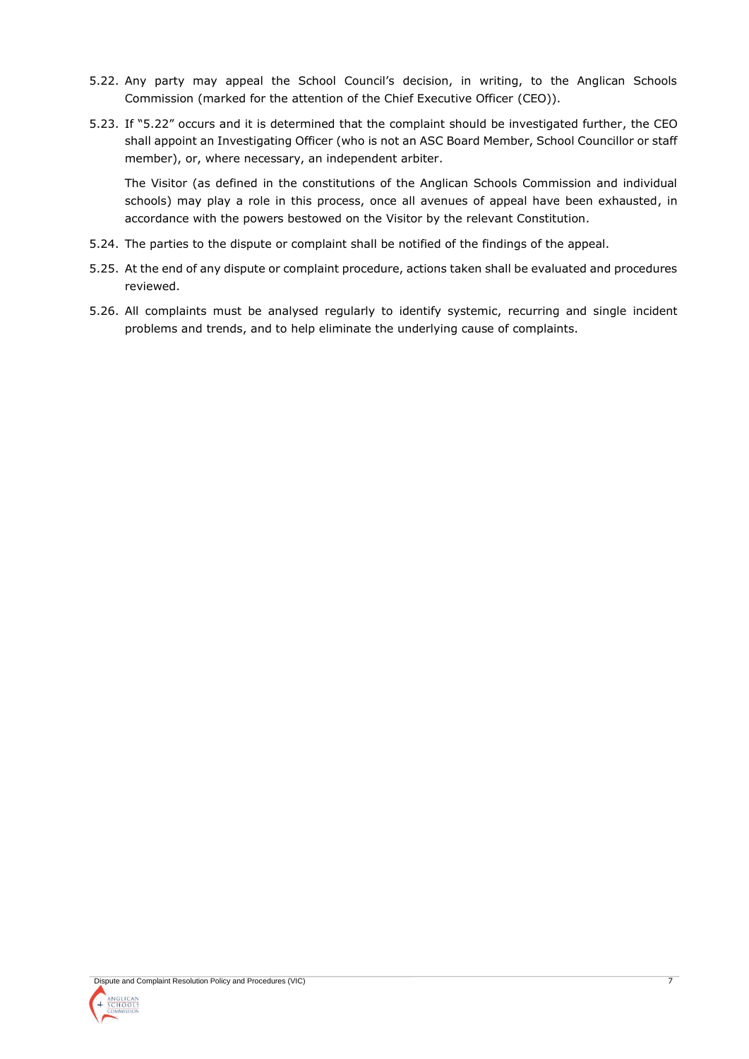- 5.22. Any party may appeal the School Council's decision, in writing, to the Anglican Schools Commission (marked for the attention of the Chief Executive Officer (CEO)).
- 5.23. If "5.22" occurs and it is determined that the complaint should be investigated further, the CEO shall appoint an Investigating Officer (who is not an ASC Board Member, School Councillor or staff member), or, where necessary, an independent arbiter.

The Visitor (as defined in the constitutions of the Anglican Schools Commission and individual schools) may play a role in this process, once all avenues of appeal have been exhausted, in accordance with the powers bestowed on the Visitor by the relevant Constitution.

- 5.24. The parties to the dispute or complaint shall be notified of the findings of the appeal.
- 5.25. At the end of any dispute or complaint procedure, actions taken shall be evaluated and procedures reviewed.
- 5.26. All complaints must be analysed regularly to identify systemic, recurring and single incident problems and trends, and to help eliminate the underlying cause of complaints.

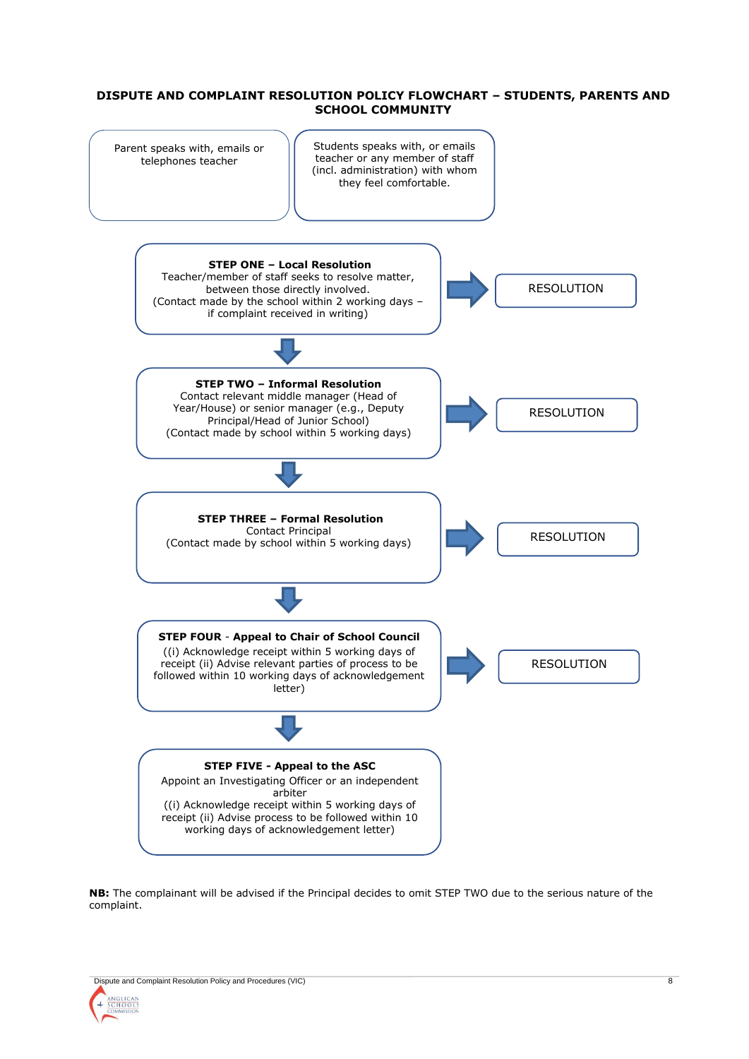#### **DISPUTE AND COMPLAINT RESOLUTION POLICY FLOWCHART – STUDENTS, PARENTS AND SCHOOL COMMUNITY**



**NB:** The complainant will be advised if the Principal decides to omit STEP TWO due to the serious nature of the complaint.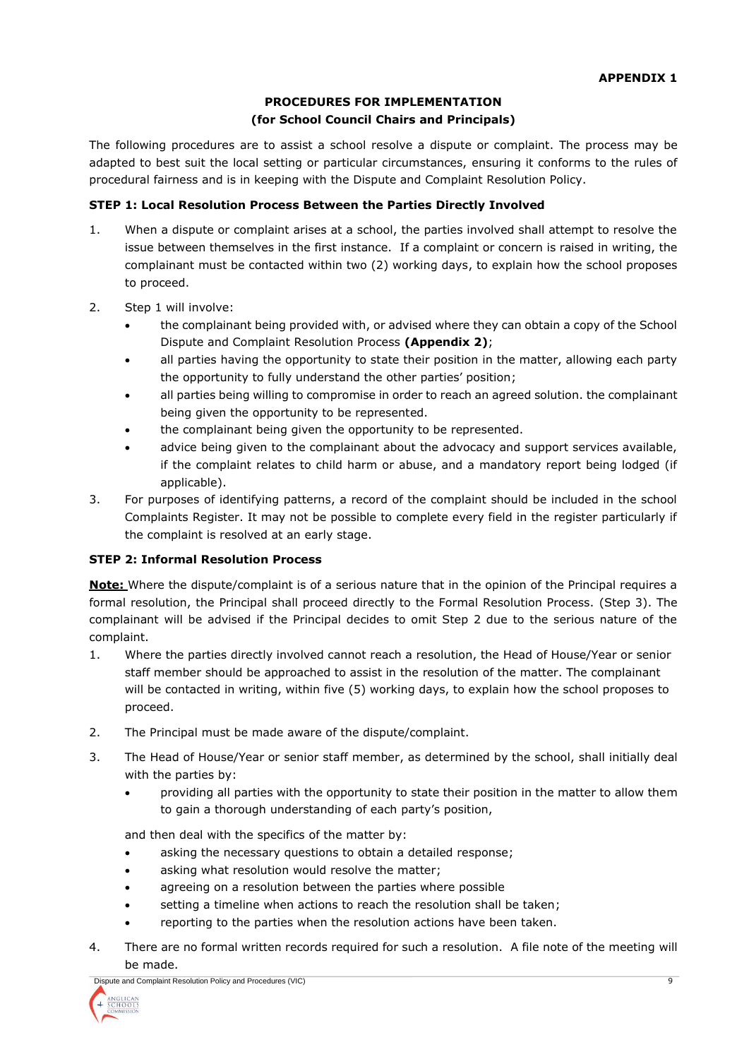#### **PROCEDURES FOR IMPLEMENTATION**

## **(for School Council Chairs and Principals)**

The following procedures are to assist a school resolve a dispute or complaint. The process may be adapted to best suit the local setting or particular circumstances, ensuring it conforms to the rules of procedural fairness and is in keeping with the Dispute and Complaint Resolution Policy.

## **STEP 1: Local Resolution Process Between the Parties Directly Involved**

- 1. When a dispute or complaint arises at a school, the parties involved shall attempt to resolve the issue between themselves in the first instance. If a complaint or concern is raised in writing, the complainant must be contacted within two (2) working days, to explain how the school proposes to proceed.
- 2. Step 1 will involve:
	- the complainant being provided with, or advised where they can obtain a copy of the School Dispute and Complaint Resolution Process **(Appendix 2)**;
	- all parties having the opportunity to state their position in the matter, allowing each party the opportunity to fully understand the other parties' position;
	- all parties being willing to compromise in order to reach an agreed solution. the complainant being given the opportunity to be represented.
	- the complainant being given the opportunity to be represented.
	- advice being given to the complainant about the advocacy and support services available, if the complaint relates to child harm or abuse, and a mandatory report being lodged (if applicable).
- 3. For purposes of identifying patterns, a record of the complaint should be included in the school Complaints Register. It may not be possible to complete every field in the register particularly if the complaint is resolved at an early stage.

## **STEP 2: Informal Resolution Process**

**Note:** Where the dispute/complaint is of a serious nature that in the opinion of the Principal requires a formal resolution, the Principal shall proceed directly to the Formal Resolution Process. (Step 3). The complainant will be advised if the Principal decides to omit Step 2 due to the serious nature of the complaint.

- 1. Where the parties directly involved cannot reach a resolution, the Head of House/Year or senior staff member should be approached to assist in the resolution of the matter. The complainant will be contacted in writing, within five (5) working days, to explain how the school proposes to proceed.
- 2. The Principal must be made aware of the dispute/complaint.
- 3. The Head of House/Year or senior staff member, as determined by the school, shall initially deal with the parties by:
	- providing all parties with the opportunity to state their position in the matter to allow them to gain a thorough understanding of each party's position,

and then deal with the specifics of the matter by:

- asking the necessary questions to obtain a detailed response;
- asking what resolution would resolve the matter;
- agreeing on a resolution between the parties where possible
- setting a timeline when actions to reach the resolution shall be taken;
- reporting to the parties when the resolution actions have been taken.
- 4. There are no formal written records required for such a resolution. A file note of the meeting will be made.

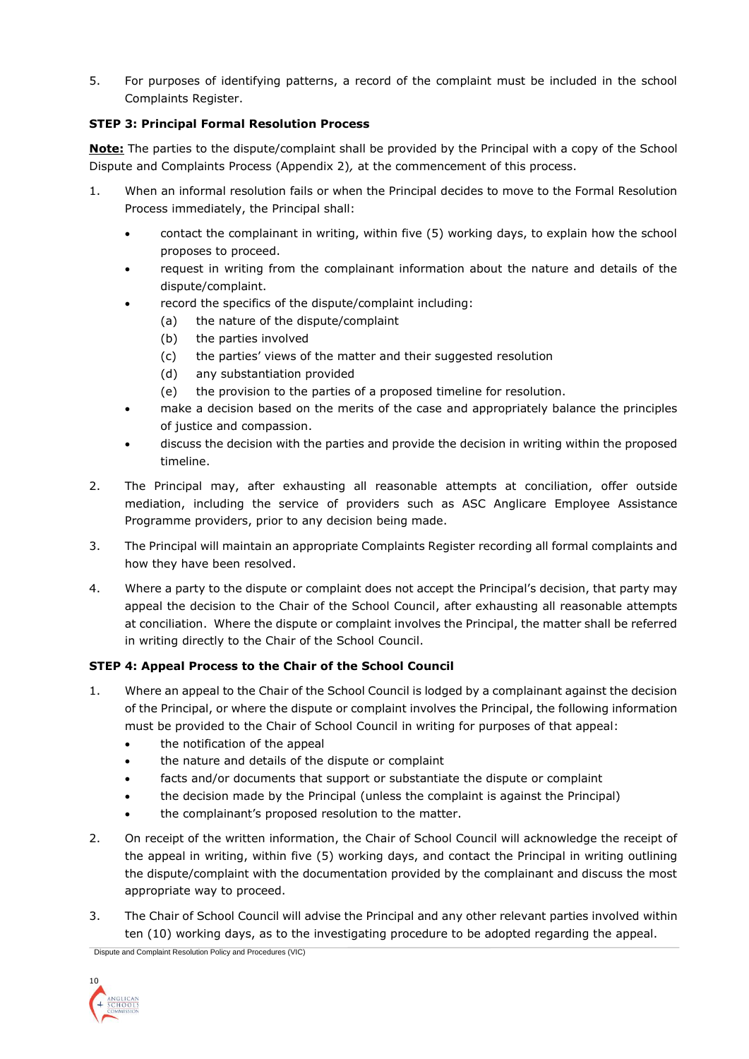5. For purposes of identifying patterns, a record of the complaint must be included in the school Complaints Register.

# **STEP 3: Principal Formal Resolution Process**

**Note:** The parties to the dispute/complaint shall be provided by the Principal with a copy of the School Dispute and Complaints Process (Appendix 2)*,* at the commencement of this process.

- 1. When an informal resolution fails or when the Principal decides to move to the Formal Resolution Process immediately, the Principal shall:
	- contact the complainant in writing, within five (5) working days, to explain how the school proposes to proceed.
	- request in writing from the complainant information about the nature and details of the dispute/complaint.
	- record the specifics of the dispute/complaint including:
		- (a) the nature of the dispute/complaint
		- (b) the parties involved
		- (c) the parties' views of the matter and their suggested resolution
		- (d) any substantiation provided
		- (e) the provision to the parties of a proposed timeline for resolution.
	- make a decision based on the merits of the case and appropriately balance the principles of justice and compassion.
	- discuss the decision with the parties and provide the decision in writing within the proposed timeline.
- 2. The Principal may, after exhausting all reasonable attempts at conciliation, offer outside mediation, including the service of providers such as ASC Anglicare Employee Assistance Programme providers, prior to any decision being made.
- 3. The Principal will maintain an appropriate Complaints Register recording all formal complaints and how they have been resolved.
- 4. Where a party to the dispute or complaint does not accept the Principal's decision, that party may appeal the decision to the Chair of the School Council, after exhausting all reasonable attempts at conciliation. Where the dispute or complaint involves the Principal, the matter shall be referred in writing directly to the Chair of the School Council.

# **STEP 4: Appeal Process to the Chair of the School Council**

- 1. Where an appeal to the Chair of the School Council is lodged by a complainant against the decision of the Principal, or where the dispute or complaint involves the Principal, the following information must be provided to the Chair of School Council in writing for purposes of that appeal:
	- the notification of the appeal
	- the nature and details of the dispute or complaint
	- facts and/or documents that support or substantiate the dispute or complaint
	- the decision made by the Principal (unless the complaint is against the Principal)
	- the complainant's proposed resolution to the matter.
- 2. On receipt of the written information, the Chair of School Council will acknowledge the receipt of the appeal in writing, within five (5) working days, and contact the Principal in writing outlining the dispute/complaint with the documentation provided by the complainant and discuss the most appropriate way to proceed.
- 3. The Chair of School Council will advise the Principal and any other relevant parties involved within ten (10) working days, as to the investigating procedure to be adopted regarding the appeal.

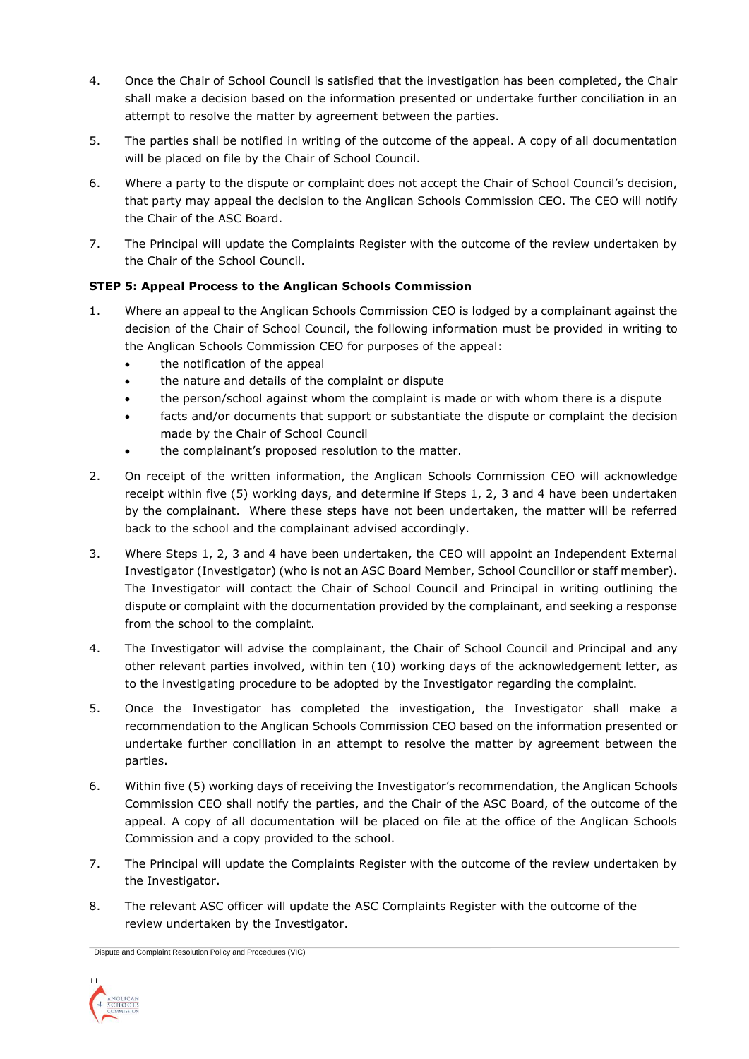- 4. Once the Chair of School Council is satisfied that the investigation has been completed, the Chair shall make a decision based on the information presented or undertake further conciliation in an attempt to resolve the matter by agreement between the parties.
- 5. The parties shall be notified in writing of the outcome of the appeal. A copy of all documentation will be placed on file by the Chair of School Council.
- 6. Where a party to the dispute or complaint does not accept the Chair of School Council's decision, that party may appeal the decision to the Anglican Schools Commission CEO. The CEO will notify the Chair of the ASC Board.
- 7. The Principal will update the Complaints Register with the outcome of the review undertaken by the Chair of the School Council.

# **STEP 5: Appeal Process to the Anglican Schools Commission**

- 1. Where an appeal to the Anglican Schools Commission CEO is lodged by a complainant against the decision of the Chair of School Council, the following information must be provided in writing to the Anglican Schools Commission CEO for purposes of the appeal:
	- the notification of the appeal
	- the nature and details of the complaint or dispute
	- the person/school against whom the complaint is made or with whom there is a dispute
	- facts and/or documents that support or substantiate the dispute or complaint the decision made by the Chair of School Council
	- the complainant's proposed resolution to the matter.
- 2. On receipt of the written information, the Anglican Schools Commission CEO will acknowledge receipt within five (5) working days, and determine if Steps 1, 2, 3 and 4 have been undertaken by the complainant. Where these steps have not been undertaken, the matter will be referred back to the school and the complainant advised accordingly.
- 3. Where Steps 1, 2, 3 and 4 have been undertaken, the CEO will appoint an Independent External Investigator (Investigator) (who is not an ASC Board Member, School Councillor or staff member). The Investigator will contact the Chair of School Council and Principal in writing outlining the dispute or complaint with the documentation provided by the complainant, and seeking a response from the school to the complaint.
- 4. The Investigator will advise the complainant, the Chair of School Council and Principal and any other relevant parties involved, within ten (10) working days of the acknowledgement letter, as to the investigating procedure to be adopted by the Investigator regarding the complaint.
- 5. Once the Investigator has completed the investigation, the Investigator shall make a recommendation to the Anglican Schools Commission CEO based on the information presented or undertake further conciliation in an attempt to resolve the matter by agreement between the parties.
- 6. Within five (5) working days of receiving the Investigator's recommendation, the Anglican Schools Commission CEO shall notify the parties, and the Chair of the ASC Board, of the outcome of the appeal. A copy of all documentation will be placed on file at the office of the Anglican Schools Commission and a copy provided to the school.
- 7. The Principal will update the Complaints Register with the outcome of the review undertaken by the Investigator.
- 8. The relevant ASC officer will update the ASC Complaints Register with the outcome of the review undertaken by the Investigator.

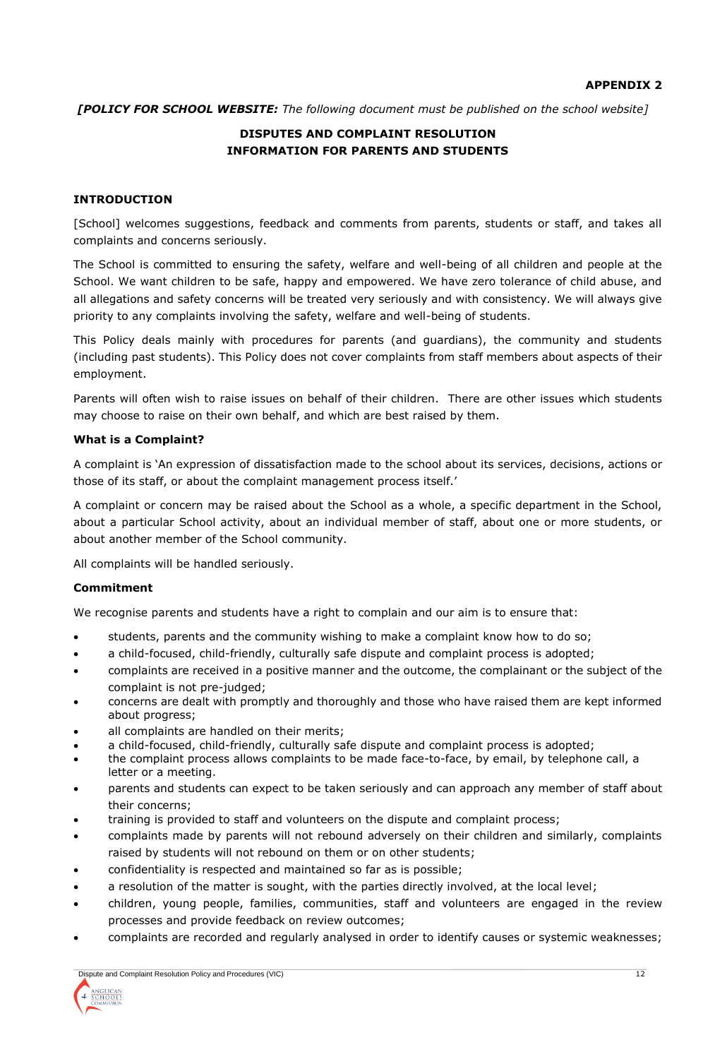*[POLICY FOR SCHOOL WEBSITE: The following document must be published on the school website]*

# **DISPUTES AND COMPLAINT RESOLUTION INFORMATION FOR PARENTS AND STUDENTS**

#### **INTRODUCTION**

[School] welcomes suggestions, feedback and comments from parents, students or staff, and takes all complaints and concerns seriously.

The School is committed to ensuring the safety, welfare and well-being of all children and people at the School. We want children to be safe, happy and empowered. We have zero tolerance of child abuse, and all allegations and safety concerns will be treated very seriously and with consistency. We will always give priority to any complaints involving the safety, welfare and well-being of students.

This Policy deals mainly with procedures for parents (and guardians), the community and students (including past students). This Policy does not cover complaints from staff members about aspects of their employment.

Parents will often wish to raise issues on behalf of their children. There are other issues which students may choose to raise on their own behalf, and which are best raised by them.

#### **What is a Complaint?**

A complaint is 'An expression of dissatisfaction made to the school about its services, decisions, actions or those of its staff, or about the complaint management process itself.'

A complaint or concern may be raised about the School as a whole, a specific department in the School, about a particular School activity, about an individual member of staff, about one or more students, or about another member of the School community.

All complaints will be handled seriously.

## **Commitment**

We recognise parents and students have a right to complain and our aim is to ensure that:

- students, parents and the community wishing to make a complaint know how to do so;
- a child-focused, child-friendly, culturally safe dispute and complaint process is adopted;
- complaints are received in a positive manner and the outcome, the complainant or the subject of the complaint is not pre-judged;
- concerns are dealt with promptly and thoroughly and those who have raised them are kept informed about progress;
- all complaints are handled on their merits;
- a child-focused, child-friendly, culturally safe dispute and complaint process is adopted;
- the complaint process allows complaints to be made face-to-face, by email, by telephone call, a letter or a meeting.
- parents and students can expect to be taken seriously and can approach any member of staff about their concerns;
- training is provided to staff and volunteers on the dispute and complaint process;
- complaints made by parents will not rebound adversely on their children and similarly, complaints raised by students will not rebound on them or on other students;
- confidentiality is respected and maintained so far as is possible;
- a resolution of the matter is sought, with the parties directly involved, at the local level;
- children, young people, families, communities, staff and volunteers are engaged in the review processes and provide feedback on review outcomes;
- complaints are recorded and regularly analysed in order to identify causes or systemic weaknesses;

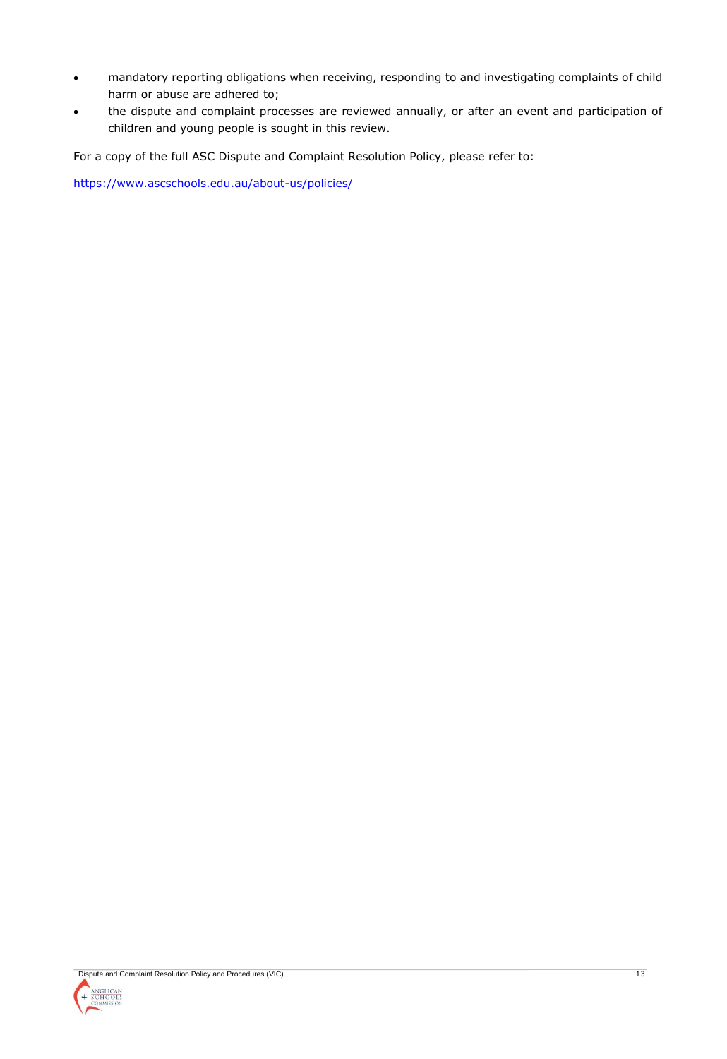- mandatory reporting obligations when receiving, responding to and investigating complaints of child harm or abuse are adhered to;
- the dispute and complaint processes are reviewed annually, or after an event and participation of children and young people is sought in this review.

For a copy of the full ASC Dispute and Complaint Resolution Policy, please refer to:

<https://www.ascschools.edu.au/about-us/policies/>

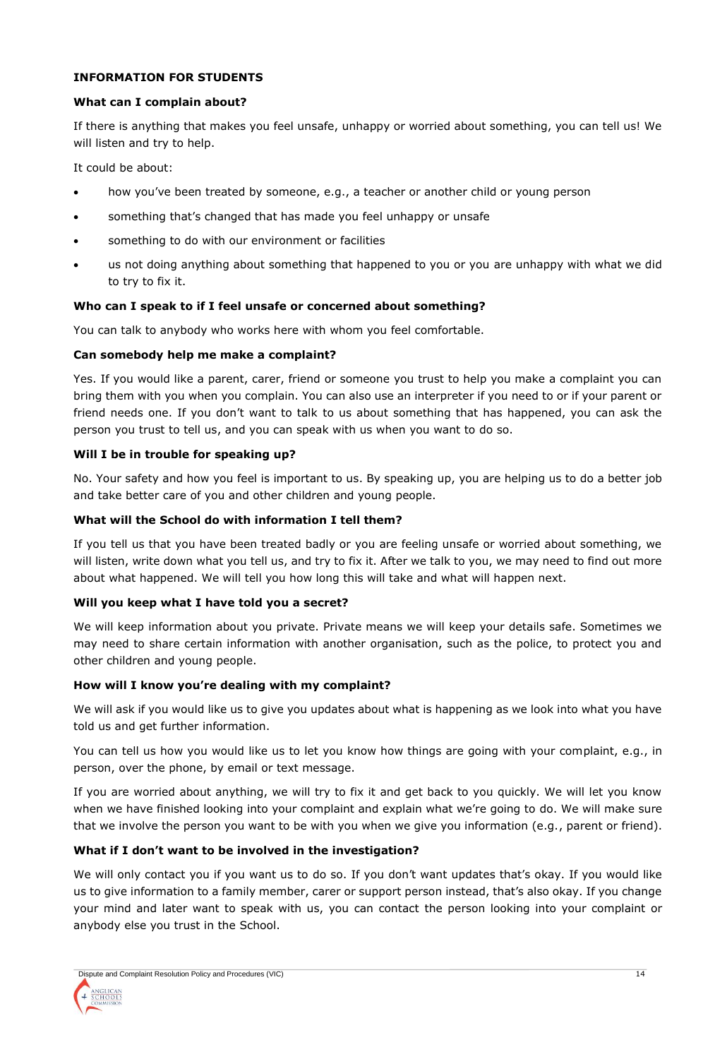## **INFORMATION FOR STUDENTS**

#### **What can I complain about?**

If there is anything that makes you feel unsafe, unhappy or worried about something, you can tell us! We will listen and try to help.

It could be about:

- how you've been treated by someone, e.g., a teacher or another child or young person
- something that's changed that has made you feel unhappy or unsafe
- something to do with our environment or facilities
- us not doing anything about something that happened to you or you are unhappy with what we did to try to fix it.

## **Who can I speak to if I feel unsafe or concerned about something?**

You can talk to anybody who works here with whom you feel comfortable.

#### **Can somebody help me make a complaint?**

Yes. If you would like a parent, carer, friend or someone you trust to help you make a complaint you can bring them with you when you complain. You can also use an interpreter if you need to or if your parent or friend needs one. If you don't want to talk to us about something that has happened, you can ask the person you trust to tell us, and you can speak with us when you want to do so.

## **Will I be in trouble for speaking up?**

No. Your safety and how you feel is important to us. By speaking up, you are helping us to do a better job and take better care of you and other children and young people.

## **What will the School do with information I tell them?**

If you tell us that you have been treated badly or you are feeling unsafe or worried about something, we will listen, write down what you tell us, and try to fix it. After we talk to you, we may need to find out more about what happened. We will tell you how long this will take and what will happen next.

#### **Will you keep what I have told you a secret?**

We will keep information about you private. Private means we will keep your details safe. Sometimes we may need to share certain information with another organisation, such as the police, to protect you and other children and young people.

#### **How will I know you're dealing with my complaint?**

We will ask if you would like us to give you updates about what is happening as we look into what you have told us and get further information.

You can tell us how you would like us to let you know how things are going with your complaint, e.g., in person, over the phone, by email or text message.

If you are worried about anything, we will try to fix it and get back to you quickly. We will let you know when we have finished looking into your complaint and explain what we're going to do. We will make sure that we involve the person you want to be with you when we give you information (e.g., parent or friend).

## **What if I don't want to be involved in the investigation?**

We will only contact you if you want us to do so. If you don't want updates that's okay. If you would like us to give information to a family member, carer or support person instead, that's also okay. If you change your mind and later want to speak with us, you can contact the person looking into your complaint or anybody else you trust in the School.

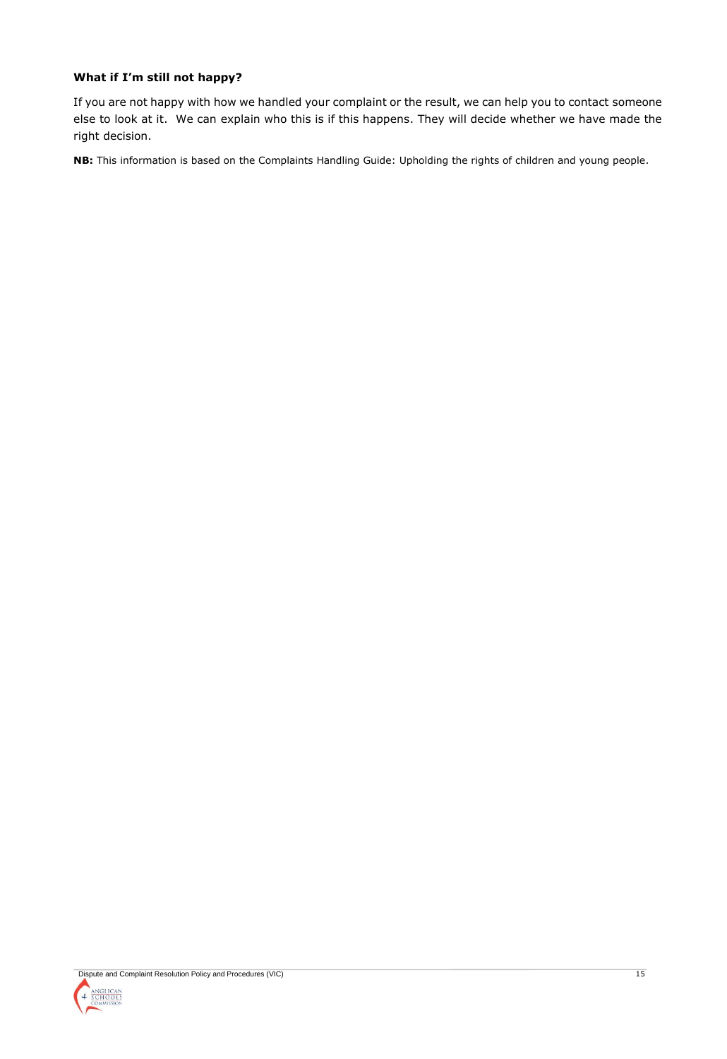## **What if I'm still not happy?**

If you are not happy with how we handled your complaint or the result, we can help you to contact someone else to look at it. We can explain who this is if this happens. They will decide whether we have made the right decision.

**NB:** This information is based on the Complaints Handling Guide: Upholding the rights of children and young people.

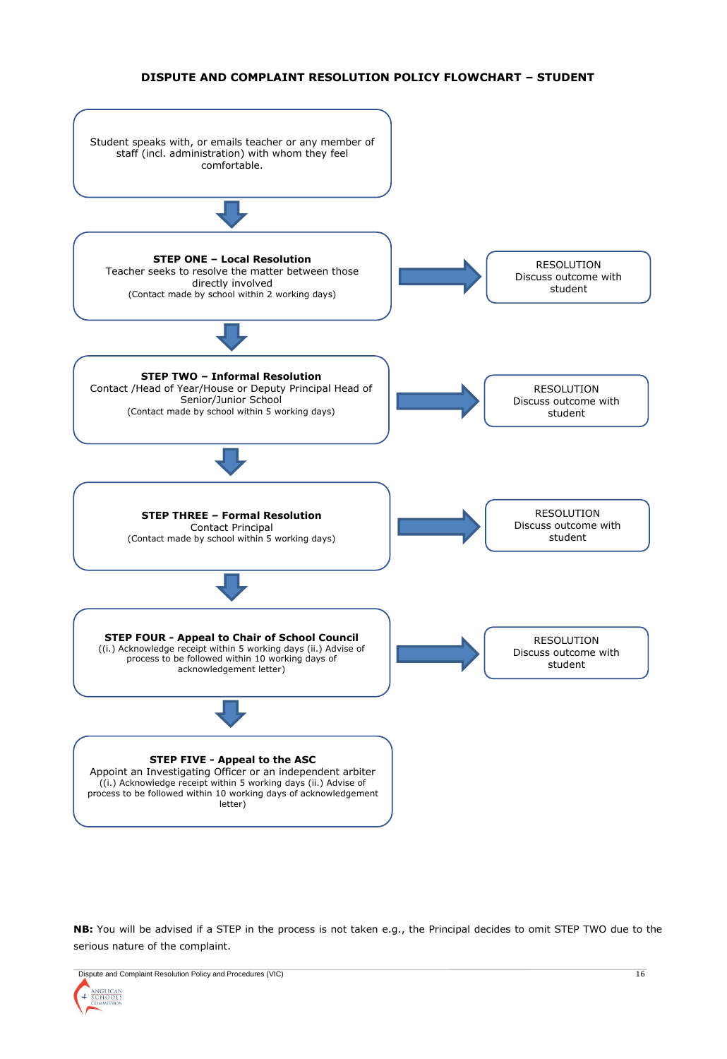#### **DISPUTE AND COMPLAINT RESOLUTION POLICY FLOWCHART – STUDENT**



**NB:** You will be advised if a STEP in the process is not taken e.g., the Principal decides to omit STEP TWO due to the serious nature of the complaint.

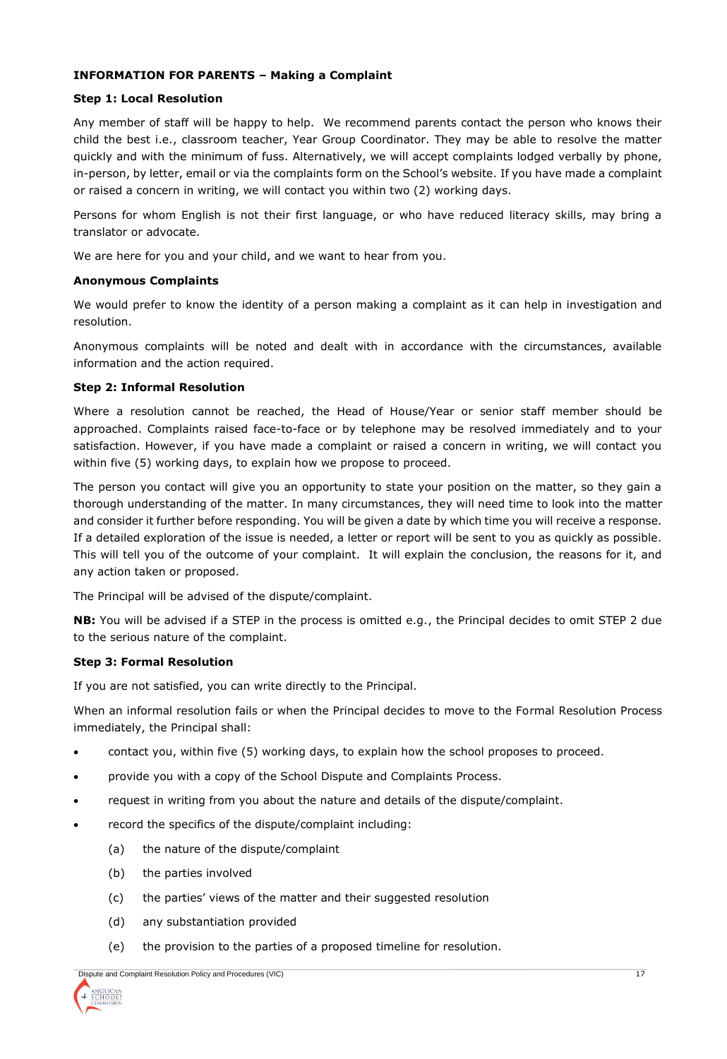## **INFORMATION FOR PARENTS – Making a Complaint**

#### **Step 1: Local Resolution**

Any member of staff will be happy to help. We recommend parents contact the person who knows their child the best i.e., classroom teacher, Year Group Coordinator. They may be able to resolve the matter quickly and with the minimum of fuss. Alternatively, we will accept complaints lodged verbally by phone, in-person, by letter, email or via the complaints form on the School's website. If you have made a complaint or raised a concern in writing, we will contact you within two (2) working days.

Persons for whom English is not their first language, or who have reduced literacy skills, may bring a translator or advocate.

We are here for you and your child, and we want to hear from you.

## **Anonymous Complaints**

We would prefer to know the identity of a person making a complaint as it can help in investigation and resolution.

Anonymous complaints will be noted and dealt with in accordance with the circumstances, available information and the action required.

## **Step 2: Informal Resolution**

Where a resolution cannot be reached, the Head of House/Year or senior staff member should be approached. Complaints raised face-to-face or by telephone may be resolved immediately and to your satisfaction. However, if you have made a complaint or raised a concern in writing, we will contact you within five (5) working days, to explain how we propose to proceed.

The person you contact will give you an opportunity to state your position on the matter, so they gain a thorough understanding of the matter. In many circumstances, they will need time to look into the matter and consider it further before responding. You will be given a date by which time you will receive a response. If a detailed exploration of the issue is needed, a letter or report will be sent to you as quickly as possible. This will tell you of the outcome of your complaint. It will explain the conclusion, the reasons for it, and any action taken or proposed.

The Principal will be advised of the dispute/complaint.

**NB:** You will be advised if a STEP in the process is omitted e.g., the Principal decides to omit STEP 2 due to the serious nature of the complaint.

#### **Step 3: Formal Resolution**

If you are not satisfied, you can write directly to the Principal.

When an informal resolution fails or when the Principal decides to move to the Formal Resolution Process immediately, the Principal shall:

- contact you, within five (5) working days, to explain how the school proposes to proceed.
- provide you with a copy of the School Dispute and Complaints Process.
- request in writing from you about the nature and details of the dispute/complaint.
- record the specifics of the dispute/complaint including:
	- (a) the nature of the dispute/complaint
	- (b) the parties involved
	- (c) the parties' views of the matter and their suggested resolution
	- (d) any substantiation provided
	- (e) the provision to the parties of a proposed timeline for resolution.

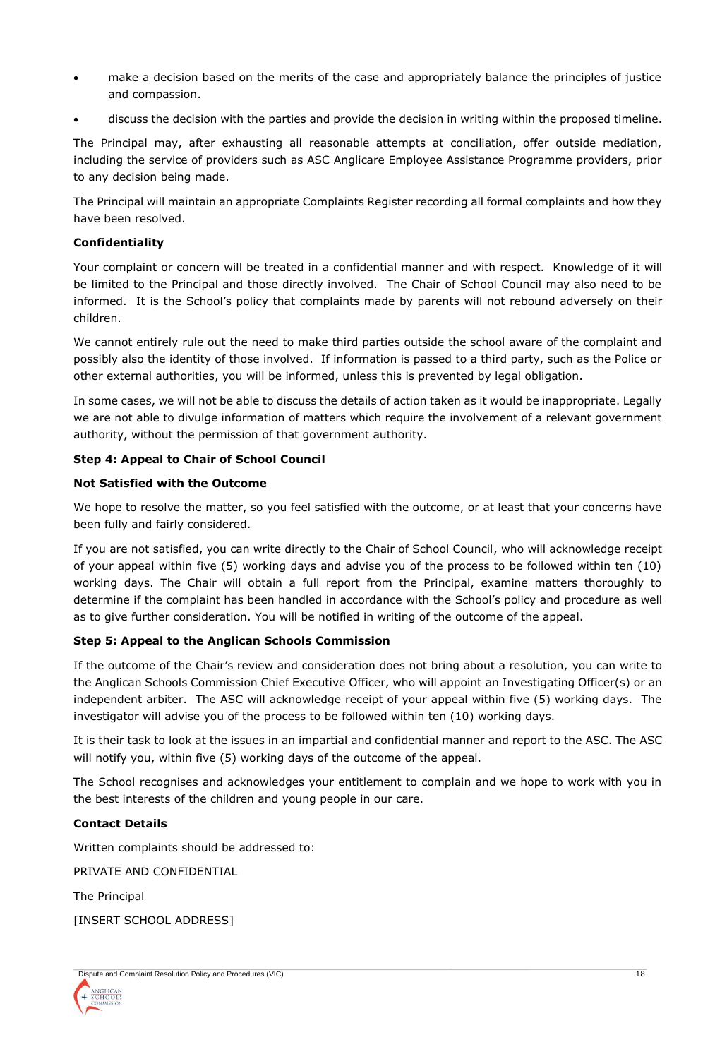- make a decision based on the merits of the case and appropriately balance the principles of justice and compassion.
- discuss the decision with the parties and provide the decision in writing within the proposed timeline.

The Principal may, after exhausting all reasonable attempts at conciliation, offer outside mediation, including the service of providers such as ASC Anglicare Employee Assistance Programme providers, prior to any decision being made.

The Principal will maintain an appropriate Complaints Register recording all formal complaints and how they have been resolved.

## **Confidentiality**

Your complaint or concern will be treated in a confidential manner and with respect. Knowledge of it will be limited to the Principal and those directly involved. The Chair of School Council may also need to be informed. It is the School's policy that complaints made by parents will not rebound adversely on their children.

We cannot entirely rule out the need to make third parties outside the school aware of the complaint and possibly also the identity of those involved. If information is passed to a third party, such as the Police or other external authorities, you will be informed, unless this is prevented by legal obligation.

In some cases, we will not be able to discuss the details of action taken as it would be inappropriate. Legally we are not able to divulge information of matters which require the involvement of a relevant government authority, without the permission of that government authority.

## **Step 4: Appeal to Chair of School Council**

#### **Not Satisfied with the Outcome**

We hope to resolve the matter, so you feel satisfied with the outcome, or at least that your concerns have been fully and fairly considered.

If you are not satisfied, you can write directly to the Chair of School Council, who will acknowledge receipt of your appeal within five (5) working days and advise you of the process to be followed within ten (10) working days. The Chair will obtain a full report from the Principal, examine matters thoroughly to determine if the complaint has been handled in accordance with the School's policy and procedure as well as to give further consideration. You will be notified in writing of the outcome of the appeal.

## **Step 5: Appeal to the Anglican Schools Commission**

If the outcome of the Chair's review and consideration does not bring about a resolution, you can write to the Anglican Schools Commission Chief Executive Officer, who will appoint an Investigating Officer(s) or an independent arbiter. The ASC will acknowledge receipt of your appeal within five (5) working days. The investigator will advise you of the process to be followed within ten (10) working days.

It is their task to look at the issues in an impartial and confidential manner and report to the ASC. The ASC will notify you, within five (5) working days of the outcome of the appeal.

The School recognises and acknowledges your entitlement to complain and we hope to work with you in the best interests of the children and young people in our care.

## **Contact Details**

Written complaints should be addressed to:

PRIVATE AND CONFIDENTIAL

The Principal

[INSERT SCHOOL ADDRESS]

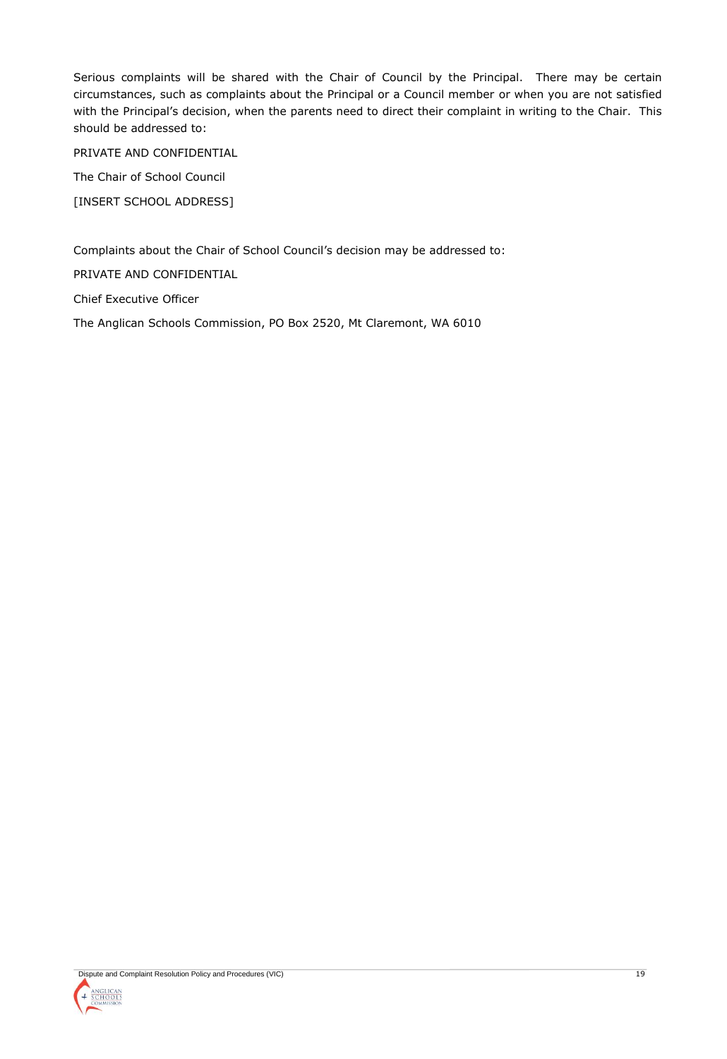Serious complaints will be shared with the Chair of Council by the Principal. There may be certain circumstances, such as complaints about the Principal or a Council member or when you are not satisfied with the Principal's decision, when the parents need to direct their complaint in writing to the Chair. This should be addressed to:

PRIVATE AND CONFIDENTIAL

The Chair of School Council

[INSERT SCHOOL ADDRESS]

Complaints about the Chair of School Council's decision may be addressed to:

PRIVATE AND CONFIDENTIAL

Chief Executive Officer

The Anglican Schools Commission, PO Box 2520, Mt Claremont, WA 6010

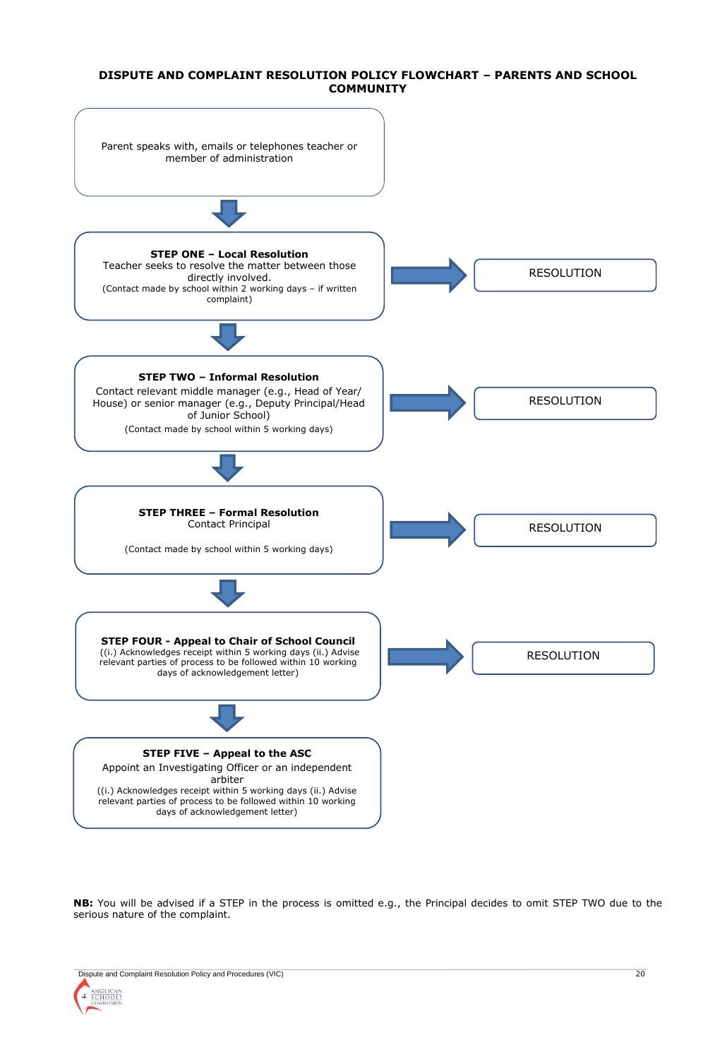#### **DISPUTE AND COMPLAINT RESOLUTION POLICY FLOWCHART – PARENTS AND SCHOOL COMMUNITY**



**NB:** You will be advised if a STEP in the process is omitted e.g., the Principal decides to omit STEP TWO due to the serious nature of the complaint.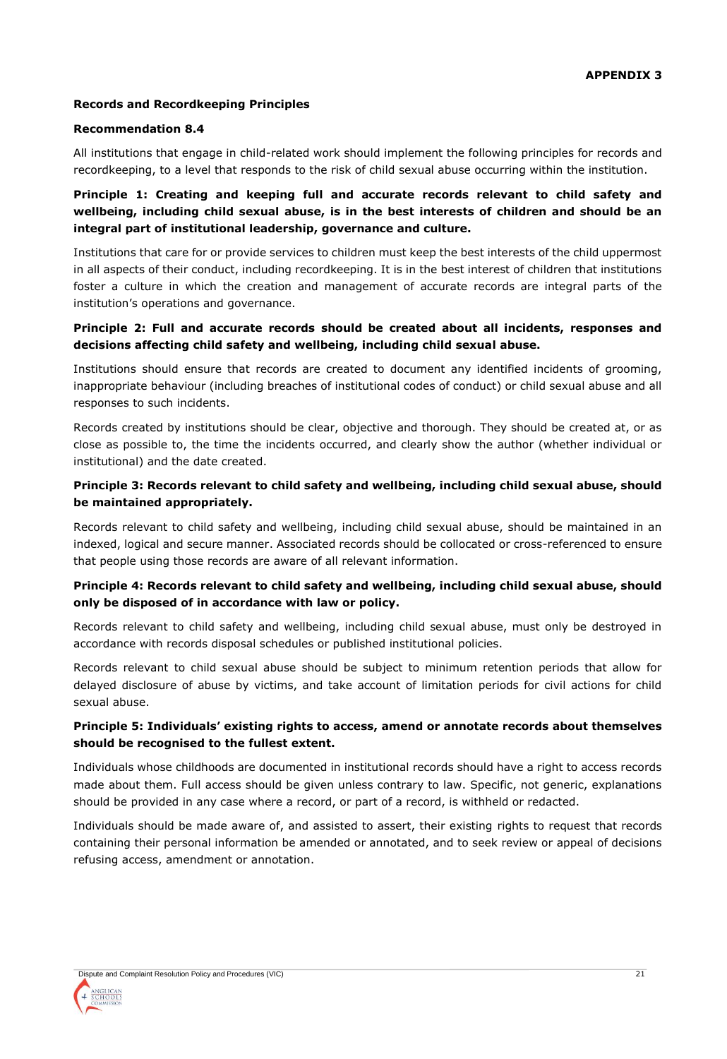# **Records and Recordkeeping Principles**

## **Recommendation 8.4**

All institutions that engage in child-related work should implement the following principles for records and recordkeeping, to a level that responds to the risk of child sexual abuse occurring within the institution.

# **Principle 1: Creating and keeping full and accurate records relevant to child safety and wellbeing, including child sexual abuse, is in the best interests of children and should be an integral part of institutional leadership, governance and culture.**

Institutions that care for or provide services to children must keep the best interests of the child uppermost in all aspects of their conduct, including recordkeeping. It is in the best interest of children that institutions foster a culture in which the creation and management of accurate records are integral parts of the institution's operations and governance.

# **Principle 2: Full and accurate records should be created about all incidents, responses and decisions affecting child safety and wellbeing, including child sexual abuse.**

Institutions should ensure that records are created to document any identified incidents of grooming, inappropriate behaviour (including breaches of institutional codes of conduct) or child sexual abuse and all responses to such incidents.

Records created by institutions should be clear, objective and thorough. They should be created at, or as close as possible to, the time the incidents occurred, and clearly show the author (whether individual or institutional) and the date created.

# **Principle 3: Records relevant to child safety and wellbeing, including child sexual abuse, should be maintained appropriately.**

Records relevant to child safety and wellbeing, including child sexual abuse, should be maintained in an indexed, logical and secure manner. Associated records should be collocated or cross-referenced to ensure that people using those records are aware of all relevant information.

# **Principle 4: Records relevant to child safety and wellbeing, including child sexual abuse, should only be disposed of in accordance with law or policy.**

Records relevant to child safety and wellbeing, including child sexual abuse, must only be destroyed in accordance with records disposal schedules or published institutional policies.

Records relevant to child sexual abuse should be subject to minimum retention periods that allow for delayed disclosure of abuse by victims, and take account of limitation periods for civil actions for child sexual abuse.

# **Principle 5: Individuals' existing rights to access, amend or annotate records about themselves should be recognised to the fullest extent.**

Individuals whose childhoods are documented in institutional records should have a right to access records made about them. Full access should be given unless contrary to law. Specific, not generic, explanations should be provided in any case where a record, or part of a record, is withheld or redacted.

Individuals should be made aware of, and assisted to assert, their existing rights to request that records containing their personal information be amended or annotated, and to seek review or appeal of decisions refusing access, amendment or annotation.

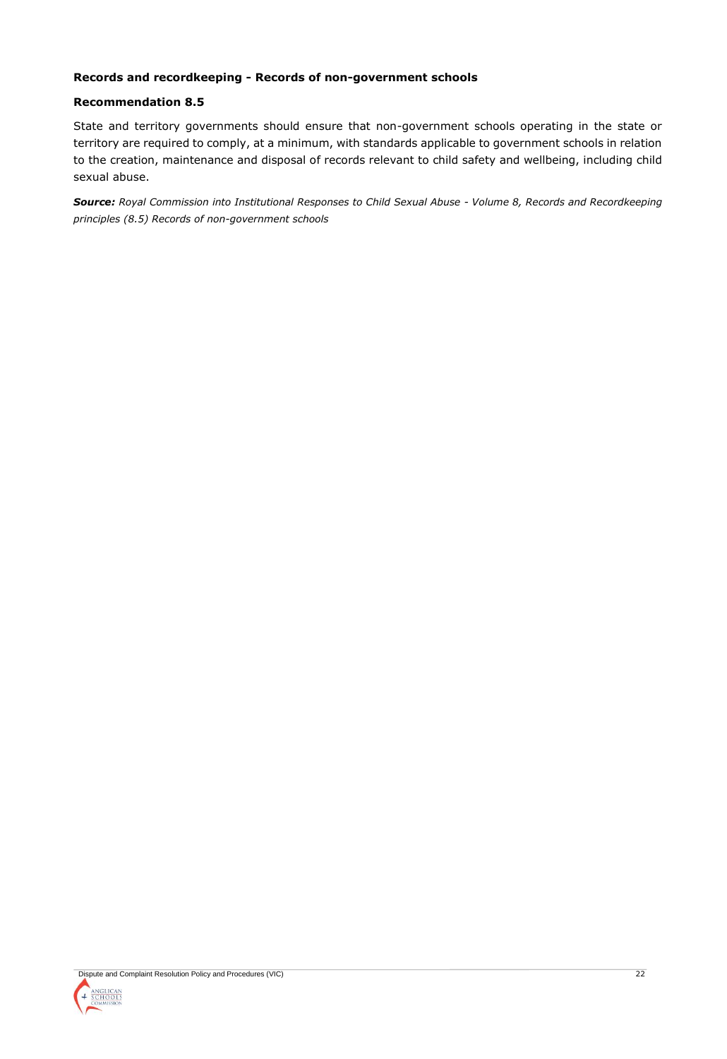## **Records and recordkeeping - Records of non-government schools**

#### **Recommendation 8.5**

State and territory governments should ensure that non-government schools operating in the state or territory are required to comply, at a minimum, with standards applicable to government schools in relation to the creation, maintenance and disposal of records relevant to child safety and wellbeing, including child sexual abuse.

*Source: Royal Commission into Institutional Responses to Child Sexual Abuse - Volume 8, Records and Recordkeeping principles (8.5) Records of non-government schools*